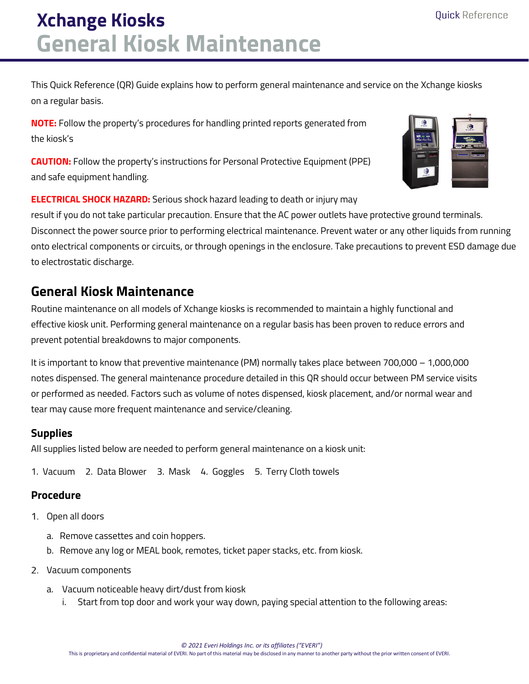# **Xchange Kiosks General Kiosk Maintenance**

This Quick Reference (QR) Guide explains how to perform general maintenance and service on the Xchange kiosks on a regular basis.

**NOTE:** Follow the property's procedures for handling printed reports generated from the kiosk's

**CAUTION:** Follow the property's instructions for Personal Protective Equipment (PPE) and safe equipment handling.

**ELECTRICAL SHOCK HAZARD:** Serious shock hazard leading to death or injury may

result if you do not take particular precaution. Ensure that the AC power outlets have protective ground terminals. Disconnect the power source prior to performing electrical maintenance. Prevent water or any other liquids from running onto electrical components or circuits, or through openings in the enclosure. Take precautions to prevent ESD damage due to electrostatic discharge.

### **General Kiosk Maintenance**

Routine maintenance on all models of Xchange kiosks is recommended to maintain a highly functional and effective kiosk unit. Performing general maintenance on a regular basis has been proven to reduce errors and prevent potential breakdowns to major components.

It is important to know that preventive maintenance (PM) normally takes place between 700,000 – 1,000,000 notes dispensed. The general maintenance procedure detailed in this QR should occur between PM service visits or performed as needed. Factors such as volume of notes dispensed, kiosk placement, and/or normal wear and tear may cause more frequent maintenance and service/cleaning.

#### **Supplies**

All supplies listed below are needed to perform general maintenance on a kiosk unit:

1. Vacuum 2. Data Blower 3. Mask 4. Goggles 5. Terry Cloth towels

#### **Procedure**

- 1. Open all doors
	- a. Remove cassettes and coin hoppers.
	- b. Remove any log or MEAL book, remotes, ticket paper stacks, etc. from kiosk.
- 2. Vacuum components
	- a. Vacuum noticeable heavy dirt/dust from kiosk
		- i. Start from top door and work your way down, paying special attention to the following areas:

 *© 2021 Everi Holdings Inc. or its affiliates ("EVERI")*

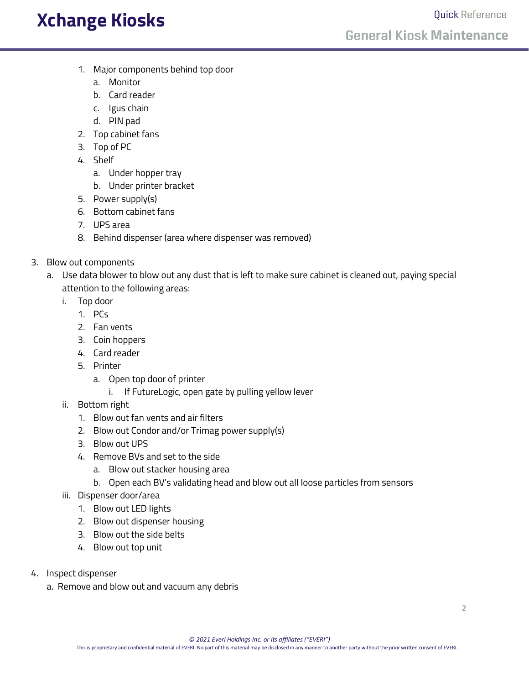### **Xchange Kiosks**

- 1. Major components behind top door
	- a. Monitor
	- b. Card reader
	- c. Igus chain
	- d. PIN pad
- 2. Top cabinet fans
- 3. Top of PC
- 4. Shelf
	- a. Under hopper tray
	- b. Under printer bracket
- 5. Power supply(s)
- 6. Bottom cabinet fans
- 7. UPS area
- 8. Behind dispenser (area where dispenser was removed)
- 3. Blow out components
	- a. Use data blower to blow out any dust that is left to make sure cabinet is cleaned out, paying special attention to the following areas:
		- i. Top door
			- 1. PCs
			- 2. Fan vents
			- 3. Coin hoppers
			- 4. Card reader
			- 5. Printer
				- a. Open top door of printer
					- i. If FutureLogic, open gate by pulling yellow lever
		- ii. Bottom right
			- 1. Blow out fan vents and air filters
			- 2. Blow out Condor and/or Trimag power supply(s)
			- 3. Blow out UPS
			- 4. Remove BVs and set to the side
				- a. Blow out stacker housing area
				- b. Open each BV's validating head and blow out all loose particles from sensors
		- iii. Dispenser door/area
			- 1. Blow out LED lights
			- 2. Blow out dispenser housing
			- 3. Blow out the side belts
			- 4. Blow out top unit
- 4. Inspect dispenser
	- a. Remove and blow out and vacuum any debris